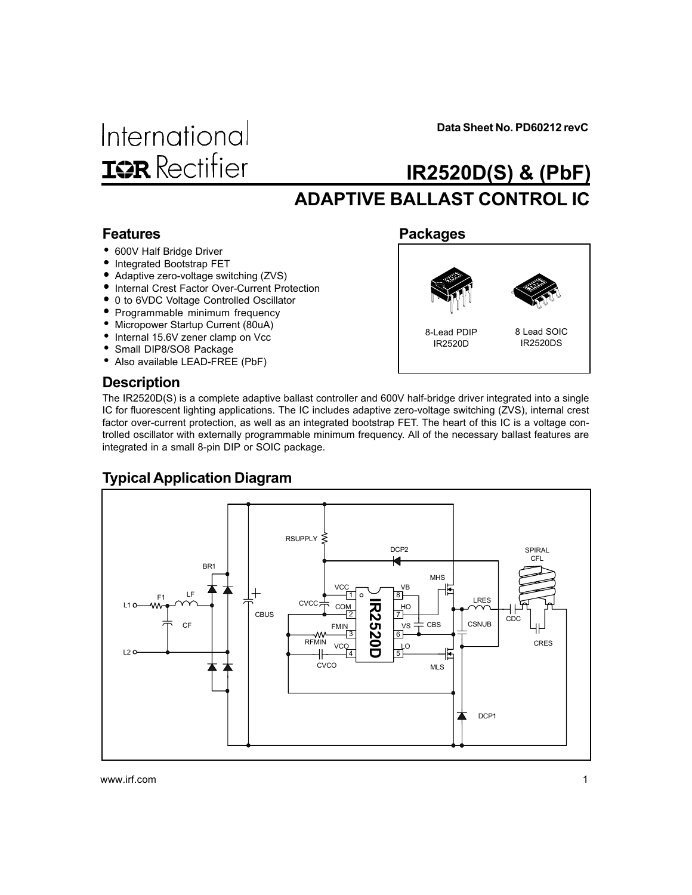International **ISR** Rectifier Data Sheet No. PD60212 revC

# ADAPTIVE BALLAST CONTROL IC IR2520D(S) & (PbF)

Packages

### Features

- 600V Half Bridge Driver
- Integrated Bootstrap FET
- Adaptive zero-voltage switching (ZVS)
- Internal Crest Factor Over-Current Protection
- 0 to 6VDC Voltage Controlled Oscillator
- Programmable minimum frequency
- Micropower Startup Current (80uA)
- Internal 15.6V zener clamp on Vcc
- Small DIP8/SO8 Package
- Also available LEAD-FREE (PbF)

# 8-Lead PDIP IR2520D

#### 8 Lead SOIC IR2520DS

### **Description**

The IR2520D(S) is a complete adaptive ballast controller and 600V half-bridge driver integrated into a single IC for fluorescent lighting applications. The IC includes adaptive zero-voltage switching (ZVS), internal crest factor over-current protection, as well as an integrated bootstrap FET. The heart of this IC is a voltage controlled oscillator with externally programmable minimum frequency. All of the necessary ballast features are integrated in a small 8-pin DIP or SOIC package.

### Typical Application Diagram

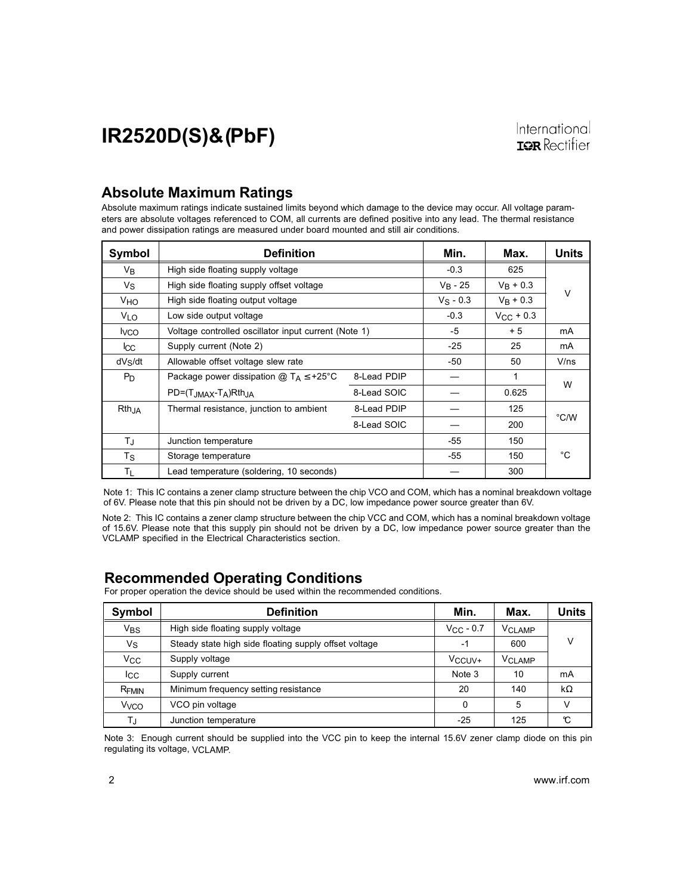### Absolute Maximum Ratings

Absolute maximum ratings indicate sustained limits beyond which damage to the device may occur. All voltage parameters are absolute voltages referenced to COM, all currents are defined positive into any lead. The thermal resistance and power dissipation ratings are measured under board mounted and still air conditions.

| Symbol            | Definition                                           |             | Min.        | Max.               | Units  |
|-------------------|------------------------------------------------------|-------------|-------------|--------------------|--------|
| V <sub>B</sub>    | High side floating supply voltage                    |             | $-0.3$      | 625                |        |
| $V_{\rm S}$       | High side floating supply offset voltage             |             | $V_R - 25$  | $V_R + 0.3$        |        |
| VHO               | High side floating output voltage                    |             | $V_S - 0.3$ | $V_R + 0.3$        | $\vee$ |
| V <sub>LO</sub>   | Low side output voltage                              |             | $-0.3$      | $V_{\rm CC}$ + 0.3 |        |
| <b>I</b> vco      | Voltage controlled oscillator input current (Note 1) |             | -5          | $+5$               | mA     |
| <b>I</b> CC       | Supply current (Note 2)                              |             | $-25$       | 25                 | mA     |
| dVs/dt            | Allowable offset voltage slew rate                   |             | $-50$       | 50                 | V/ns   |
| $P_D$             | Package power dissipation $@T_A \leq +25^{\circ}C$   | 8-Lead PDIP |             | 1                  |        |
|                   | $PD = (T_{JMAX} - T_A)Rth_{JA}$                      | 8-Lead SOIC |             | 0.625              | W      |
| Rth <sub>JA</sub> | Thermal resistance, junction to ambient              | 8-Lead PDIP |             | 125                |        |
|                   |                                                      | 8-Lead SOIC |             | 200                | °C/W   |
| $T_{\rm J}$       | Junction temperature                                 |             | $-55$       | 150                |        |
| Ts                | Storage temperature                                  |             | -55         | 150                | °C     |
| Τı                | Lead temperature (soldering, 10 seconds)             |             |             | 300                |        |

Note 1: This IC contains a zener clamp structure between the chip VCO and COM, which has a nominal breakdown voltage of 6V. Please note that this pin should not be driven by a DC, low impedance power source greater than 6V.

Note 2: This IC contains a zener clamp structure between the chip VCC and COM, which has a nominal breakdown voltage of 15.6V. Please note that this supply pin should not be driven by a DC, low impedance power source greater than the VCLAMP specified in the Electrical Characteristics section.

### Recommended Operating Conditions

For proper operation the device should be used within the recommended conditions.

| Symbol                 | <b>Definition</b>                                     | Min.                | Max.          | Units     |
|------------------------|-------------------------------------------------------|---------------------|---------------|-----------|
| V <sub>BS</sub>        | High side floating supply voltage                     | $V_{\rm CC}$ - 0.7  | <b>VCLAMP</b> |           |
| Vs                     | Steady state high side floating supply offset voltage | $-1$                | 600           | v         |
| <b>V<sub>CC</sub></b>  | Supply voltage                                        | V <sub>CCUV</sub> + | <b>VCLAMP</b> |           |
| <b>I</b> cc            | Supply current                                        | Note 3              | 10            | mA        |
| RFMIN                  | Minimum frequency setting resistance                  | 20                  | 140           | $k\Omega$ |
| <b>V<sub>VCO</sub></b> | VCO pin voltage                                       | $\Omega$            | 5             |           |
| ТJ                     | Junction temperature                                  | $-25$               | 125           | C         |

Note 3: Enough current should be supplied into the VCC pin to keep the internal 15.6V zener clamp diode on this pin regulating its voltage, VCLAMP.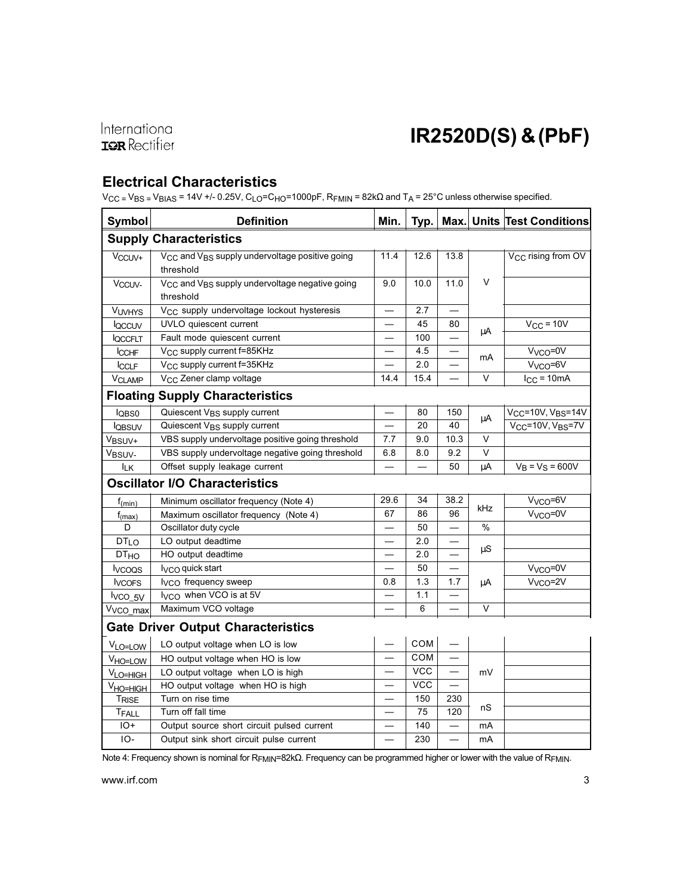### Electrical Characteristics

V<sub>CC</sub> = V<sub>BS</sub> = V<sub>BIAS</sub> = 14V +/- 0.25V, C<sub>LO</sub>=C<sub>HO</sub>=1000pF, R<sub>FMIN</sub> = 82kΩ and T<sub>A</sub> = 25°C unless otherwise specified.

| <b>Symbol</b>                             | <b>Definition</b>                                                                   | Min.                     | Typ.       |                          |                 | Max. Units Test Conditions                 |
|-------------------------------------------|-------------------------------------------------------------------------------------|--------------------------|------------|--------------------------|-----------------|--------------------------------------------|
|                                           | <b>Supply Characteristics</b>                                                       |                          |            |                          |                 |                                            |
| V <sub>CCUV+</sub>                        | V <sub>CC</sub> and V <sub>BS</sub> supply undervoltage positive going<br>threshold | 11.4                     | 12.6       | 13.8                     |                 | V <sub>CC</sub> rising from OV             |
| Vccuv-                                    | V <sub>CC</sub> and V <sub>BS</sub> supply undervoltage negative going<br>threshold | 9.0                      | 10.0       | 11.0                     | $\vee$          |                                            |
| VUVHYS                                    | V <sub>CC</sub> supply undervoltage lockout hysteresis                              |                          | 2.7        |                          |                 |                                            |
| loccuv                                    | UVLO quiescent current                                                              |                          | 45         | 80                       |                 | $V_{CC}$ = 10V                             |
| <b>QCCFLT</b>                             | Fault mode quiescent current                                                        |                          | 100        |                          | μA              |                                            |
| <b>ICCHF</b>                              | V <sub>CC</sub> supply current f=85KHz                                              |                          | 4.5        |                          | mA              | V <sub>VCO</sub> =0V                       |
| <b>CCLF</b>                               | V <sub>CC</sub> supply current f=35KHz                                              |                          | 2.0        |                          |                 | V <sub>VCO</sub> =6V                       |
| VCLAMP                                    | V <sub>CC</sub> Zener clamp voltage                                                 | 14.4                     | 15.4       |                          | $\vee$          | $I_{CC}$ = 10mA                            |
|                                           | <b>Floating Supply Characteristics</b>                                              |                          |            |                          |                 |                                            |
| l <sub>QBS0</sub>                         | Quiescent V <sub>BS</sub> supply current                                            |                          | 80         | 150                      |                 | V <sub>CC</sub> =10V, V <sub>BS</sub> =14V |
| <b>l</b> QBSUV                            | Quiescent V <sub>BS</sub> supply current                                            |                          | 20         | 40                       | μA              | $V_{CC}$ =10V, $V_{BS}$ =7V                |
| V <sub>BSUV+</sub>                        | VBS supply undervoltage positive going threshold                                    | 7.7                      | 9.0        | 10.3                     | $\vee$          |                                            |
| V <sub>BSUV-</sub>                        | VBS supply undervoltage negative going threshold                                    | 6.8                      | 8.0        | 9.2                      | V               |                                            |
| <b>ILK</b>                                | Offset supply leakage current                                                       |                          |            | 50                       | μA              | $V_B = V_S = 600V$                         |
| <b>Oscillator I/O Characteristics</b>     |                                                                                     |                          |            |                          |                 |                                            |
| $f_{(min)}$                               | Minimum oscillator frequency (Note 4)                                               | 29.6                     | 34         | 38.2                     | kHz             | V <sub>VCO</sub> =6V                       |
| $f_{(max)}$                               | Maximum oscillator frequency (Note 4)                                               | 67                       | 86         | 96                       |                 | V <sub>VCO</sub> =0V                       |
| D                                         | Oscillator duty cycle                                                               |                          | 50         |                          | $\%$            |                                            |
| <b>DTLO</b>                               | LO output deadtime                                                                  |                          | 2.0        |                          |                 |                                            |
| <b>DT<sub>HO</sub></b>                    | HO output deadtime                                                                  |                          | 2.0        |                          | $\upmu\text{S}$ |                                            |
| <b>I</b> vcoos                            | $VCO$ quick start                                                                   |                          | 50         | $\overline{\phantom{0}}$ |                 | V <sub>VCO</sub> =0V                       |
| <b>I</b> vcors                            | I <sub>VCO</sub> frequency sweep                                                    | 0.8                      | 1.3        | 1.7                      | μA              | V <sub>VCO</sub> =2V                       |
| lvco_5V                                   | I <sub>VCO</sub> when VCO is at 5V                                                  |                          | 1.1        |                          |                 |                                            |
| V <sub>VCO_max</sub>                      | Maximum VCO voltage                                                                 |                          | 6          |                          | $\vee$          |                                            |
| <b>Gate Driver Output Characteristics</b> |                                                                                     |                          |            |                          |                 |                                            |
| VLO=LOW                                   | LO output voltage when LO is low                                                    |                          | <b>COM</b> |                          |                 |                                            |
| V <sub>HO=LOW</sub>                       | HO output voltage when HO is low                                                    |                          | COM        |                          |                 |                                            |
| VLO=HIGH                                  | LO output voltage when LO is high                                                   |                          | <b>VCC</b> |                          | mV              |                                            |
| V <sub>HO=HIGH</sub>                      | HO output voltage when HO is high                                                   |                          | <b>VCC</b> |                          |                 |                                            |
| TRISE                                     | Turn on rise time                                                                   |                          | 150        | 230                      |                 |                                            |
| TFALL                                     | Turn off fall time                                                                  |                          | 75         | 120                      | nS              |                                            |
| $IO+$                                     | Output source short circuit pulsed current                                          |                          | 140        |                          | mA              |                                            |
| $IO-$                                     | Output sink short circuit pulse current                                             | $\overline{\phantom{0}}$ | 230        | $\overline{\phantom{0}}$ | mA              |                                            |

Note 4: Frequency shown is nominal for RFMIN=82kΩ. Frequency can be programmed higher or lower with the value of RFMIN.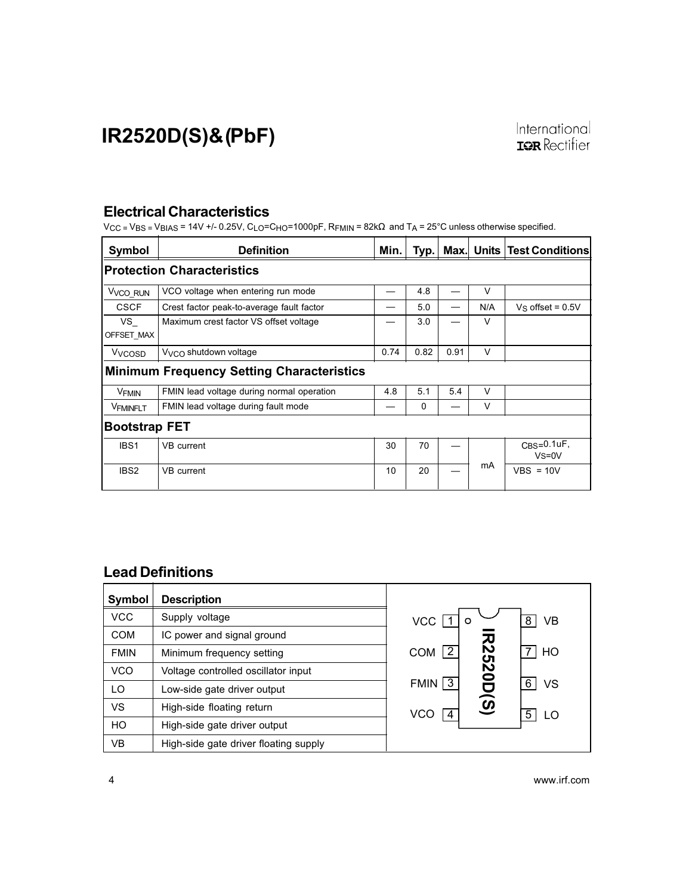### Electrical Characteristics

 $V_{\text{CC}}$  = V<sub>BS</sub> = V<sub>BIAS</sub> = 14V +/- 0.25V, C<sub>LO</sub>=C<sub>HO</sub>=1000pF, R<sub>FMIN</sub> = 82k $\Omega$  and T<sub>A</sub> = 25°C unless otherwise specified.

| Symbol                                           | <b>Definition</b>                         | Min. | Typ. |      |        | Max. Units Test Conditions |
|--------------------------------------------------|-------------------------------------------|------|------|------|--------|----------------------------|
|                                                  | <b>Protection Characteristics</b>         |      |      |      |        |                            |
| V <sub>VCO_RUN</sub>                             | VCO voltage when entering run mode        |      | 4.8  |      | $\vee$ |                            |
| <b>CSCF</b>                                      | Crest factor peak-to-average fault factor |      | 5.0  |      | N/A    | Vs offset = $0.5V$         |
| VS<br>OFFSET MAX                                 | Maximum crest factor VS offset voltage    |      | 3.0  |      | $\vee$ |                            |
| V <sub>VCOSD</sub>                               | $V_{VCO}$ shutdown voltage                | 0.74 | 0.82 | 0.91 | $\vee$ |                            |
| <b>Minimum Frequency Setting Characteristics</b> |                                           |      |      |      |        |                            |
| V <sub>FMIN</sub>                                | FMIN lead voltage during normal operation | 4.8  | 5.1  | 5.4  | $\vee$ |                            |
| <b>VFMINFLT</b>                                  | FMIN lead voltage during fault mode       |      | 0    |      | $\vee$ |                            |
| <b>Bootstrap FET</b>                             |                                           |      |      |      |        |                            |
| IBS <sub>1</sub>                                 | VB current                                | 30   | 70   |      |        | $CBS=0.1uF$<br>$Vs = 0V$   |
| IBS <sub>2</sub>                                 | VB current                                | 10   | 20   |      | mA     | $VBS = 10V$                |

### Lead Definitions

| <b>Symbol</b> | <b>Description</b>                    |                                                |
|---------------|---------------------------------------|------------------------------------------------|
| <b>VCC</b>    | Supply voltage                        | VCC<br><b>VB</b><br>8<br>O                     |
| <b>COM</b>    | IC power and signal ground            |                                                |
| <b>FMIN</b>   | Minimum frequency setting             | $\overline{2}$<br>HO<br>COM                    |
| <b>VCO</b>    | Voltage controlled oscillator input   |                                                |
| LO.           | Low-side gate driver output           | <b>R2520D(S)</b><br>$FMIN$ 3<br><b>VS</b><br>6 |
| VS            | High-side floating return             | VCO<br>5<br>LO                                 |
| HO            | High-side gate driver output          |                                                |
| VB            | High-side gate driver floating supply |                                                |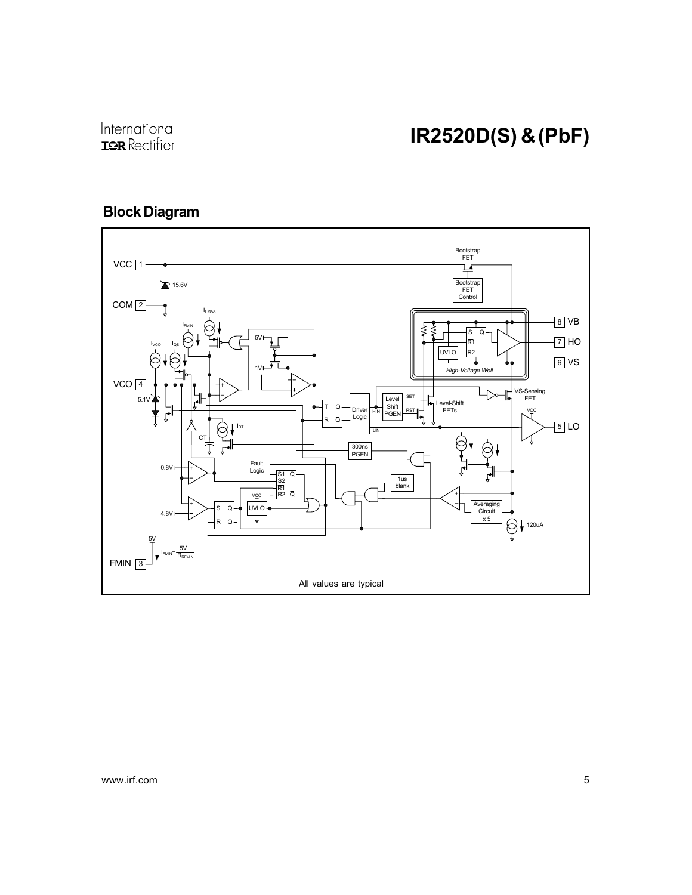### Block Diagram

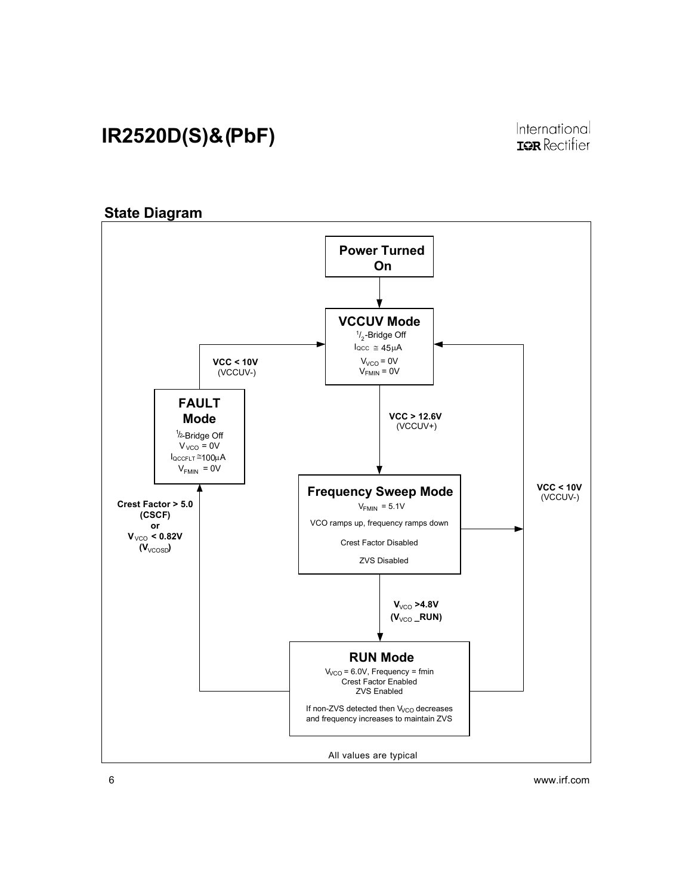#### **State Diagram** All values are typical **Power Turned On VCCUV Mode VCC > 12.6V** (VCCUV+) **VCC < 10V** (VCCUV-)  $V_{VCO} = 0V$ **VCC < 10V** (VCCUV-) locc ≅ 45μA  $\frac{1}{2}$ -Bridge Off **Crest Factor > 5.0 (CSCF) or V**<sub>VCO</sub> < 0.82V (V<sub>VCOSD</sub>)  $V_{FMIN} = 0V$ **Frequency Sweep Mode** VCO ramps up, frequency ramps down Crest Factor Disabled  $V_{FMIN}$  = 5.1V **RUN Mode** V<sub>/CO</sub> = 6.0V, Frequency = fmin Crest Factor Enabled ZVS Enabled If non-ZVS detected then V<sub>VCO</sub> decreases and frequency increases to maintain ZVS **FAULT Mode**  $V_{FMIN}$  = 0V ZVS Disabled  $V_{VCO}$  >4.8V  $(V_{\lor CO}$  \_RUN)  $1/2$ -Bridge Off  $V_{VCO} = 0V$ IQCCFLT ≅100µA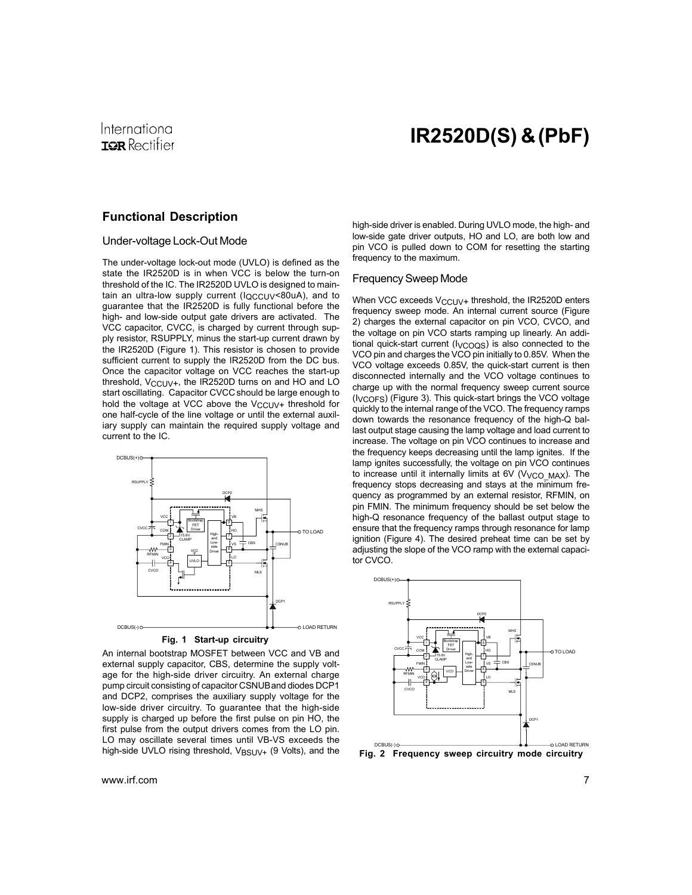### International **IGR** Rectifier

## IR2520D(S) & (PbF)

#### Functional Description

#### Under-voltage Lock-Out Mode

The under-voltage lock-out mode (UVLO) is defined as the state the IR2520D is in when VCC is below the turn-on threshold of the IC. The IR2520D UVLO is designed to maintain an ultra-low supply current  $(I_{QCCUV}$ <80uA), and to guarantee that the IR2520D is fully functional before the high- and low-side output gate drivers are activated. The VCC capacitor, CVCC, is charged by current through supply resistor, RSUPPLY, minus the start-up current drawn by the IR2520D (Figure 1). This resistor is chosen to provide sufficient current to supply the IR2520D from the DC bus. Once the capacitor voltage on VCC reaches the start-up threshold,  $V_{CCLIV+}$ , the IR2520D turns on and HO and LO start oscillating. Capacitor CVCC should be large enough to hold the voltage at VCC above the  $V_{\text{CCUV+}}$  threshold for one half-cycle of the line voltage or until the external auxiliary supply can maintain the required supply voltage and current to the IC.



**Fig. 1 Start-up circuitry**

An internal bootstrap MOSFET between VCC and VB and external supply capacitor, CBS, determine the supply voltage for the high-side driver circuitry. An external charge pump circuit consisting of capacitor CSNUBand diodes DCP1 and DCP2, comprises the auxiliary supply voltage for the low-side driver circuitry. To guarantee that the high-side supply is charged up before the first pulse on pin HO, the first pulse from the output drivers comes from the LO pin. LO may oscillate several times until VB-VS exceeds the high-side UVLO rising threshold, V<sub>BSUV+</sub> (9 Volts), and the **Fig. 2 Frequency sweep circuitry mode circuitry** 

high-side driver is enabled. During UVLO mode, the high- and low-side gate driver outputs, HO and LO, are both low and pin VCO is pulled down to COM for resetting the starting frequency to the maximum.

#### Frequency Sweep Mode

When VCC exceeds  $V_{\text{CCUV+}}$  threshold, the IR2520D enters frequency sweep mode. An internal current source (Figure 2) charges the external capacitor on pin VCO, CVCO, and the voltage on pin VCO starts ramping up linearly. An additional quick-start current (IVCOQS) is also connected to the VCO pin and charges the VCO pin initially to 0.85V. When the VCO voltage exceeds 0.85V, the quick-start current is then disconnected internally and the VCO voltage continues to charge up with the normal frequency sweep current source (IVCOFS) (Figure 3). This quick-start brings the VCO voltage quickly to the internal range of the VCO. The frequency ramps down towards the resonance frequency of the high-Q ballast output stage causing the lamp voltage and load current to increase. The voltage on pin VCO continues to increase and the frequency keeps decreasing until the lamp ignites. If the lamp ignites successfully, the voltage on pin VCO continues to increase until it internally limits at 6V ( $V_{VCO}$  MAX). The frequency stops decreasing and stays at the minimum frequency as programmed by an external resistor, RFMIN, on pin FMIN. The minimum frequency should be set below the high-Q resonance frequency of the ballast output stage to ensure that the frequency ramps through resonance for lamp ignition (Figure 4). The desired preheat time can be set by adjusting the slope of the VCO ramp with the external capacitor CVCO.

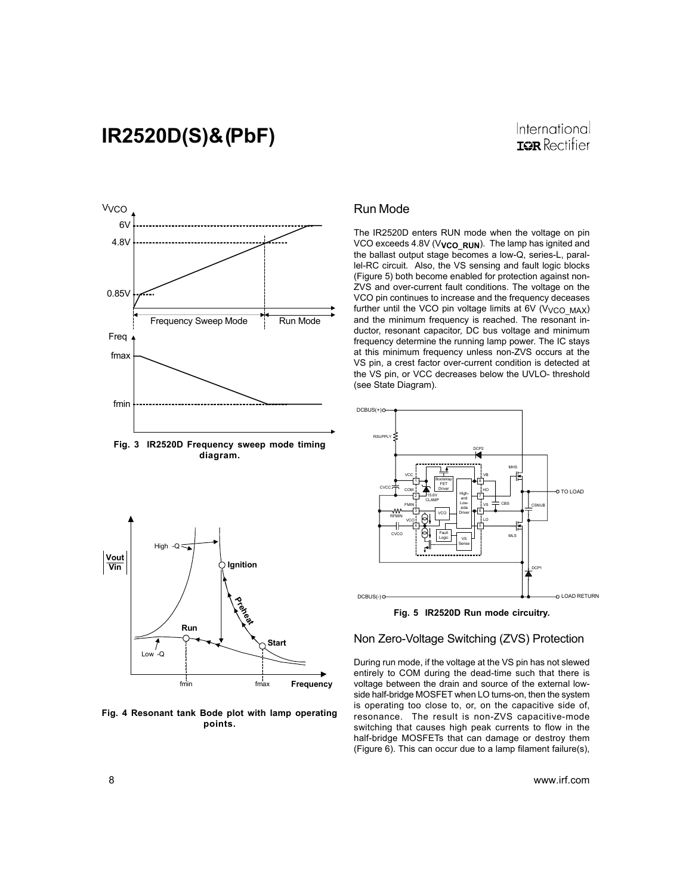### International **IOR** Rectifier



**Fig. 3 IR2520D Frequency sweep mode timing diagram.**



**Fig. 4 Resonant tank Bode plot with lamp operating points.**

#### Run Mode

The IR2520D enters RUN mode when the voltage on pin VCO exceeds 4.8V (V<sub>VCO\_RUN</sub>). The lamp has ignited and the ballast output stage becomes a low-Q, series-L, parallel-RC circuit. Also, the VS sensing and fault logic blocks (Figure 5) both become enabled for protection against non-ZVS and over-current fault conditions. The voltage on the VCO pin continues to increase and the frequency deceases further until the VCO pin voltage limits at  $6V$  (V<sub>VCO</sub>  $MAX$ ) and the minimum frequency is reached. The resonant inductor, resonant capacitor, DC bus voltage and minimum frequency determine the running lamp power. The IC stays at this minimum frequency unless non-ZVS occurs at the VS pin, a crest factor over-current condition is detected at the VS pin, or VCC decreases below the UVLO- threshold (see State Diagram).



**Fig. 5 IR2520D Run mode circuitry.**

#### Non Zero-Voltage Switching (ZVS) Protection

During run mode, if the voltage at the VS pin has not slewed entirely to COM during the dead-time such that there is voltage between the drain and source of the external lowside half-bridge MOSFET when LO turns-on, then the system is operating too close to, or, on the capacitive side of, resonance. The result is non-ZVS capacitive-mode switching that causes high peak currents to flow in the half-bridge MOSFETs that can damage or destroy them (Figure 6). This can occur due to a lamp filament failure(s),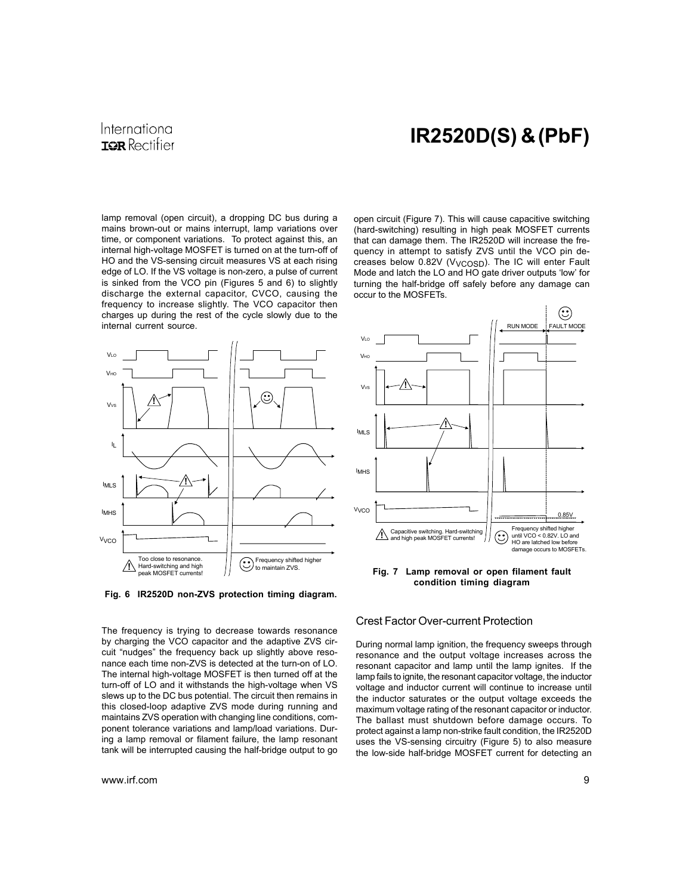### International **IGR** Rectifier

# IR2520D(S) & (PbF)

lamp removal (open circuit), a dropping DC bus during a mains brown-out or mains interrupt, lamp variations over time, or component variations. To protect against this, an internal high-voltage MOSFET is turned on at the turn-off of HO and the VS-sensing circuit measures VS at each rising edge of LO. If the VS voltage is non-zero, a pulse of current is sinked from the VCO pin (Figures 5 and 6) to slightly discharge the external capacitor, CVCO, causing the frequency to increase slightly. The VCO capacitor then charges up during the rest of the cycle slowly due to the internal current source.



**Fig. 6 IR2520D non-ZVS protection timing diagram.**

open circuit (Figure 7). This will cause capacitive switching (hard-switching) resulting in high peak MOSFET currents that can damage them. The IR2520D will increase the frequency in attempt to satisfy ZVS until the VCO pin decreases below 0.82V (V<sub>VCOSD</sub>). The IC will enter Fault Mode and latch the LO and HO gate driver outputs 'low' for turning the half-bridge off safely before any damage can occur to the MOSFETs.



**Fig. 7 Lamp removal or open filament fault condition timing diagram**

Crest Factor Over-current Protection

The frequency is trying to decrease towards resonance by charging the VCO capacitor and the adaptive ZVS circuit "nudges" the frequency back up slightly above resonance each time non-ZVS is detected at the turn-on of LO. The internal high-voltage MOSFET is then turned off at the turn-off of LO and it withstands the high-voltage when VS slews up to the DC bus potential. The circuit then remains in this closed-loop adaptive ZVS mode during running and maintains ZVS operation with changing line conditions, component tolerance variations and lamp/load variations. During a lamp removal or filament failure, the lamp resonant tank will be interrupted causing the half-bridge output to go

During normal lamp ignition, the frequency sweeps through resonance and the output voltage increases across the resonant capacitor and lamp until the lamp ignites. If the lamp fails to ignite, the resonant capacitor voltage, the inductor voltage and inductor current will continue to increase until the inductor saturates or the output voltage exceeds the maximum voltage rating of the resonant capacitor or inductor. The ballast must shutdown before damage occurs. To protect against a lamp non-strike fault condition, the IR2520D uses the VS-sensing circuitry (Figure 5) to also measure the low-side half-bridge MOSFET current for detecting an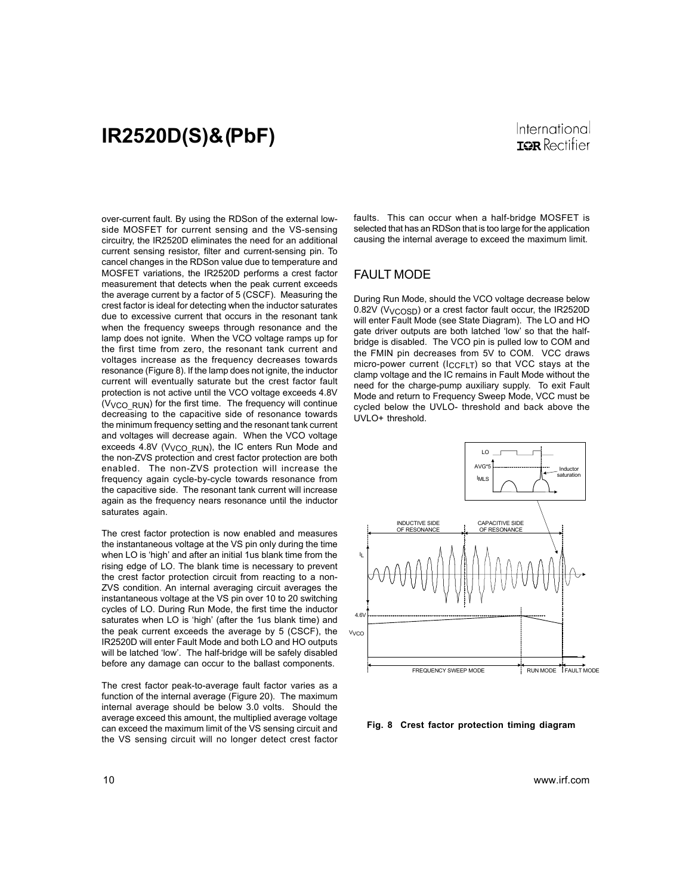over-current fault. By using the RDSon of the external lowside MOSFET for current sensing and the VS-sensing circuitry, the IR2520D eliminates the need for an additional current sensing resistor, filter and current-sensing pin. To cancel changes in the RDSon value due to temperature and MOSFET variations, the IR2520D performs a crest factor measurement that detects when the peak current exceeds the average current by a factor of 5 (CSCF). Measuring the crest factor is ideal for detecting when the inductor saturates due to excessive current that occurs in the resonant tank when the frequency sweeps through resonance and the lamp does not ignite. When the VCO voltage ramps up for the first time from zero, the resonant tank current and voltages increase as the frequency decreases towards resonance (Figure 8). If the lamp does not ignite, the inductor current will eventually saturate but the crest factor fault protection is not active until the VCO voltage exceeds 4.8V (VVCO\_RUN) for the first time. The frequency will continue decreasing to the capacitive side of resonance towards the minimum frequency setting and the resonant tank current and voltages will decrease again. When the VCO voltage exceeds  $4.8V$  (V<sub>VCO</sub> RUN), the IC enters Run Mode and the non-ZVS protection and crest factor protection are both enabled. The non-ZVS protection will increase the frequency again cycle-by-cycle towards resonance from the capacitive side. The resonant tank current will increase again as the frequency nears resonance until the inductor saturates again.

The crest factor protection is now enabled and measures the instantaneous voltage at the VS pin only during the time when LO is 'high' and after an initial 1us blank time from the rising edge of LO. The blank time is necessary to prevent the crest factor protection circuit from reacting to a non-ZVS condition. An internal averaging circuit averages the instantaneous voltage at the VS pin over 10 to 20 switching cycles of LO. During Run Mode, the first time the inductor saturates when LO is 'high' (after the 1us blank time) and the peak current exceeds the average by 5 (CSCF), the IR2520D will enter Fault Mode and both LO and HO outputs will be latched 'low'. The half-bridge will be safely disabled before any damage can occur to the ballast components.

The crest factor peak-to-average fault factor varies as a function of the internal average (Figure 20). The maximum internal average should be below 3.0 volts. Should the average exceed this amount, the multiplied average voltage can exceed the maximum limit of the VS sensing circuit and the VS sensing circuit will no longer detect crest factor faults. This can occur when a half-bridge MOSFET is selected that has an RDSon that is too large for the application causing the internal average to exceed the maximum limit.

#### FAULT MODE

During Run Mode, should the VCO voltage decrease below 0.82V (V<sub>VCOSD</sub>) or a crest factor fault occur, the IR2520D will enter Fault Mode (see State Diagram). The LO and HO gate driver outputs are both latched 'low' so that the halfbridge is disabled. The VCO pin is pulled low to COM and the FMIN pin decreases from 5V to COM. VCC draws micro-power current  $(I_{CCFIT})$  so that VCC stays at the clamp voltage and the IC remains in Fault Mode without the need for the charge-pump auxiliary supply. To exit Fault Mode and return to Frequency Sweep Mode, VCC must be cycled below the UVLO- threshold and back above the UVLO+ threshold.



**Fig. 8 Crest factor protection timing diagram**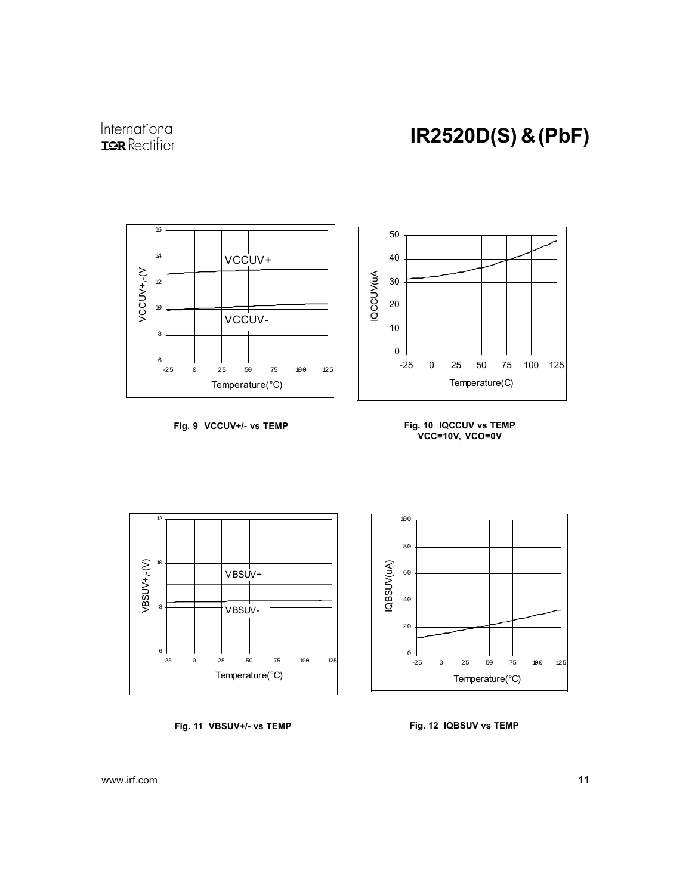



**Fig. 9 VCCUV+/- vs TEMP Fig. 10 IQCCUV vs TEMP**









-25 0 25 50 75 100 125 Temperature(°C)

 $0 +$ <br>-25

20

40

60

IQBSUV(uA)

IQBSUV(uA)

80

100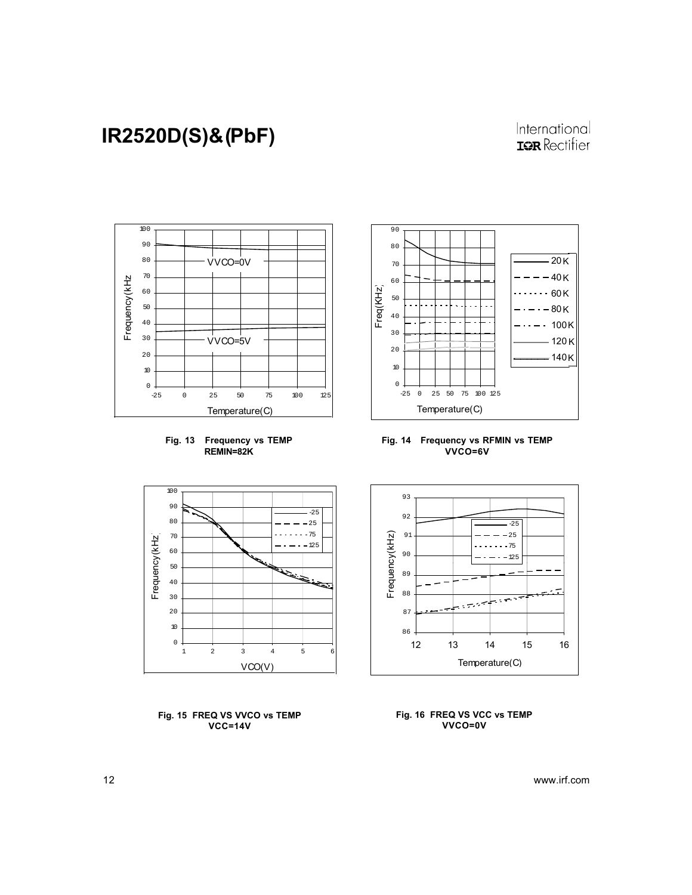### International **ISR** Rectifier







**Fig. 14 Frequency vs RFMIN vs TEMP VVCO=6V**



**Fig. 15 FREQ VS VVCO vs TEMP VCC=14V**



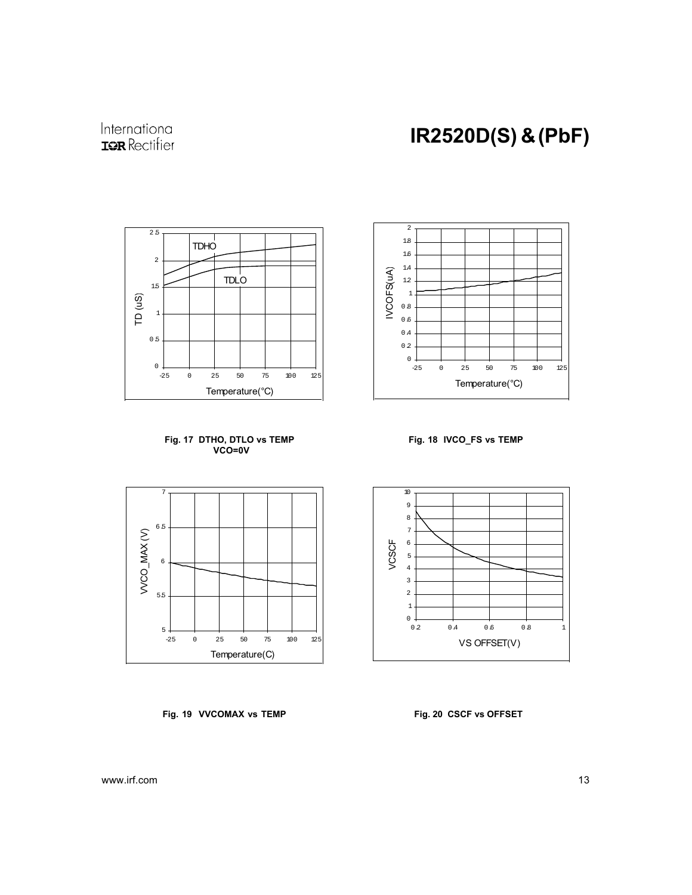

International **IQR** Rectifier









**Fig. 19 VVCOMAX vs TEMP Fig. 20 CSCF vs OFFSET**



0.2 0.4 0.6 0.8 1 VS OFFSET(V)

VCSCF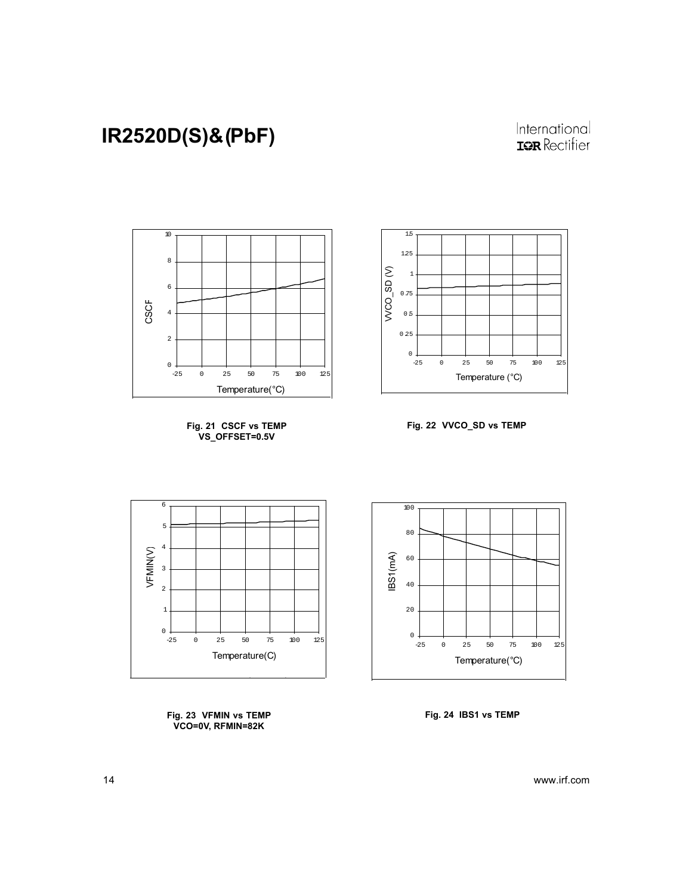### International **ISR** Rectifier



**Fig. 21 CSCF vs TEMP VS\_OFFSET=0.5V**







**Fig. 23 VFMIN vs TEMP VCO=0V, RFMIN=82K**



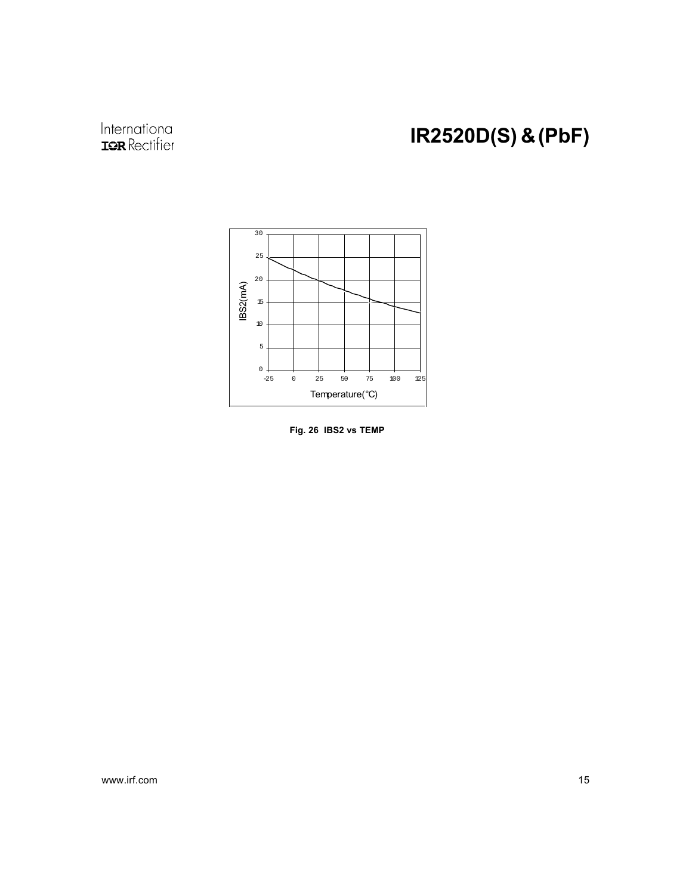# International<br>**IGR** Rectifier

# IR2520D(S) & (PbF)



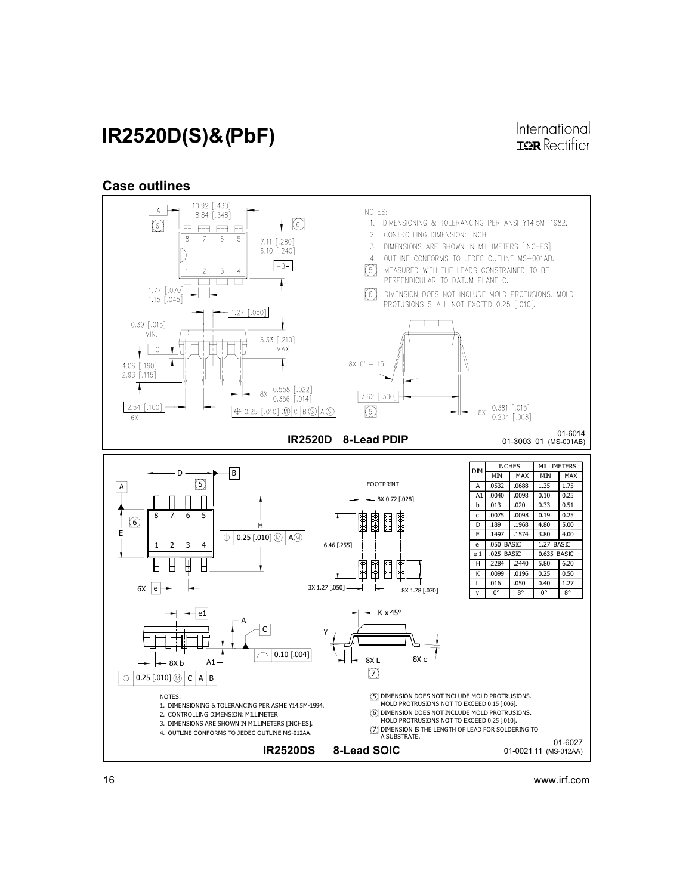#### 16 www.irf.com



#### Case outlines

# IR2520D(S)& (PbF)

International **IOR** Rectifier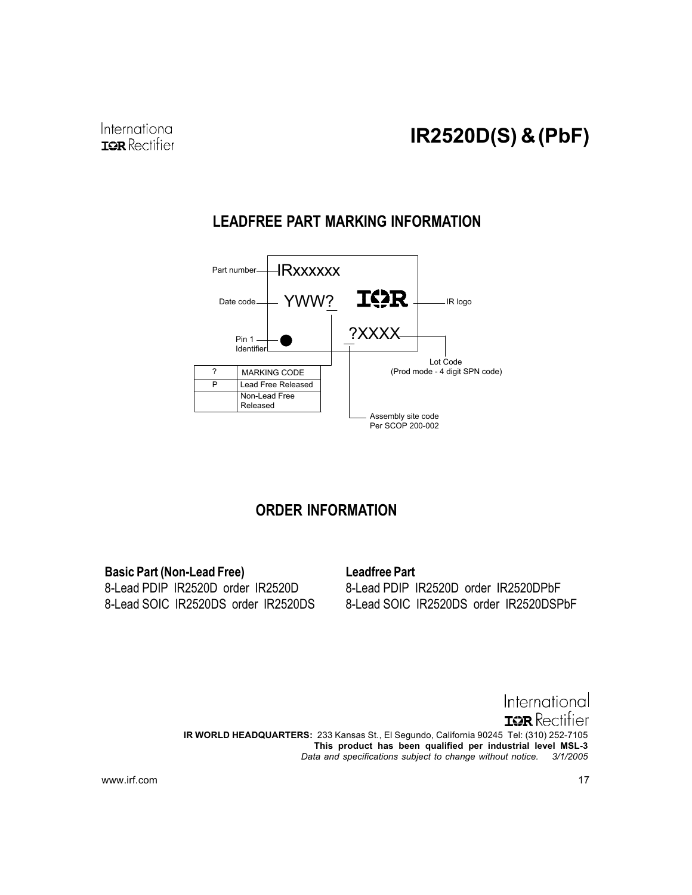# **LEADFREE PART MARKING INFORMATION**



### **ORDER INFORMATION**

**Basic Part (Non-Lead Free)** 8-Lead PDIP IR2520D order IR2520D 8-Lead SOIC IR2520DS order IR2520DS

### **Leadfree Part**

8-Lead PDIP IR2520D order IR2520DPbF 8-Lead SOIC IR2520DS order IR2520DSPbF

International **ISR** Rectitier IR WORLD HEADQUARTERS: 233 Kansas St., El Segundo, California 90245 Tel: (310) 252-7105 This product has been qualified per industrial level MSL-3 Data and specifications subject to change without notice. 3/1/2005